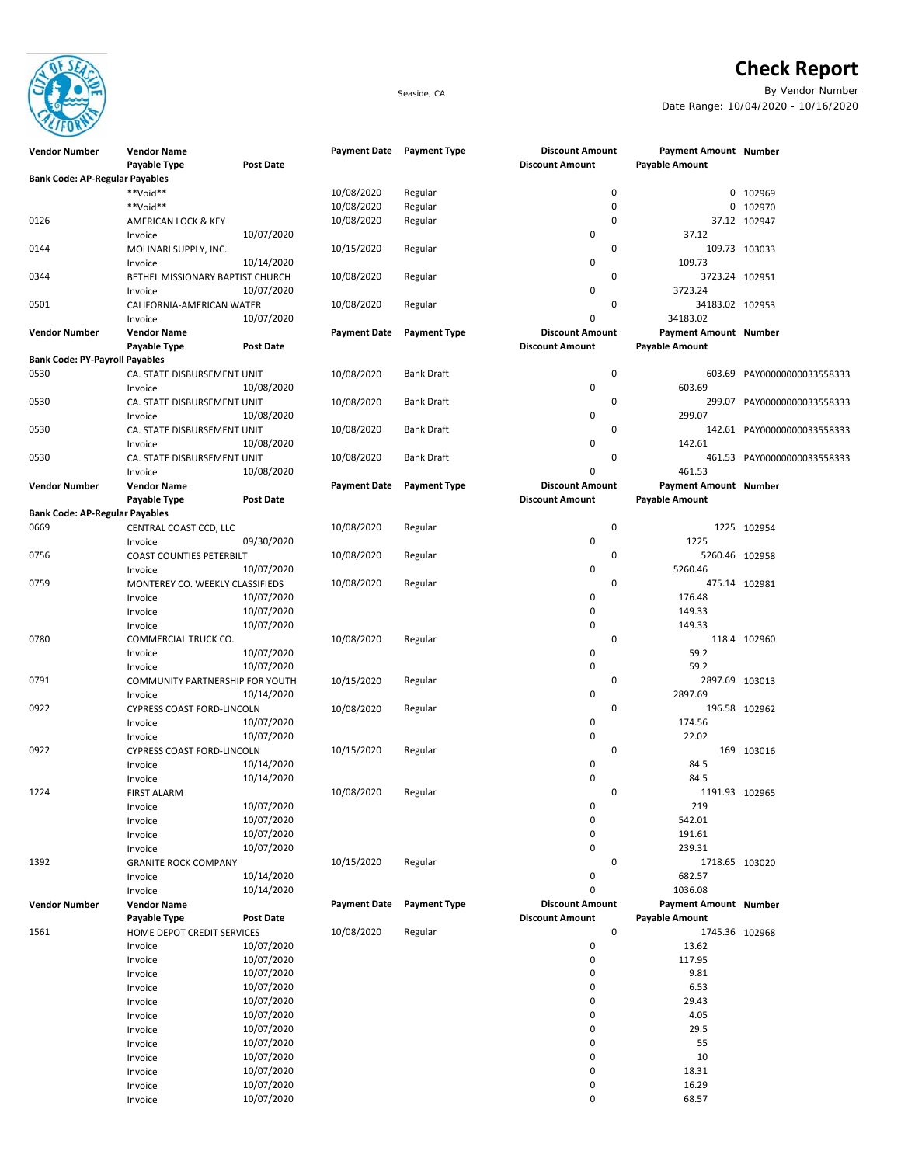

## **Check Report**

Seaside, CA By Vendor Number Date Range: 10/04/2020 - 10/16/2020

| <b>Vendor Number</b>                  | <b>Vendor Name</b>                          |                          | <b>Payment Date</b> | <b>Payment Type</b> | <b>Discount Amount</b> | Payment Amount Number    |                             |
|---------------------------------------|---------------------------------------------|--------------------------|---------------------|---------------------|------------------------|--------------------------|-----------------------------|
|                                       | Payable Type                                | <b>Post Date</b>         |                     |                     | <b>Discount Amount</b> | <b>Payable Amount</b>    |                             |
| <b>Bank Code: AP-Regular Payables</b> |                                             |                          |                     |                     |                        |                          |                             |
|                                       | **Void**                                    |                          | 10/08/2020          | Regular             | 0                      |                          | 0 102969                    |
|                                       | **Void**                                    |                          | 10/08/2020          | Regular             | 0                      |                          | 0 102970                    |
| 0126                                  | AMERICAN LOCK & KEY                         |                          | 10/08/2020          | Regular             | 0                      |                          | 37.12 102947                |
|                                       | Invoice                                     | 10/07/2020               |                     |                     | 0                      | 37.12                    |                             |
| 0144                                  | MOLINARI SUPPLY, INC.                       |                          | 10/15/2020          | Regular             | 0                      |                          | 109.73 103033               |
| 0344                                  | Invoice<br>BETHEL MISSIONARY BAPTIST CHURCH | 10/14/2020               |                     | Regular             | 0<br>0                 | 109.73<br>3723.24 102951 |                             |
|                                       | Invoice                                     | 10/07/2020               | 10/08/2020          |                     | 0                      | 3723.24                  |                             |
| 0501                                  | CALIFORNIA-AMERICAN WATER                   |                          | 10/08/2020          | Regular             | 0                      | 34183.02 102953          |                             |
|                                       | Invoice                                     | 10/07/2020               |                     |                     | 0                      | 34183.02                 |                             |
| <b>Vendor Number</b>                  | <b>Vendor Name</b>                          |                          | <b>Payment Date</b> | <b>Payment Type</b> | <b>Discount Amount</b> | Payment Amount Number    |                             |
|                                       | Payable Type                                | <b>Post Date</b>         |                     |                     | <b>Discount Amount</b> | Payable Amount           |                             |
| <b>Bank Code: PY-Payroll Payables</b> |                                             |                          |                     |                     |                        |                          |                             |
| 0530                                  | CA. STATE DISBURSEMENT UNIT                 |                          | 10/08/2020          | <b>Bank Draft</b>   | 0                      |                          | 603.69 PAY00000000033558333 |
|                                       | Invoice                                     | 10/08/2020               |                     |                     | 0                      | 603.69                   |                             |
| 0530                                  | CA. STATE DISBURSEMENT UNIT                 |                          | 10/08/2020          | <b>Bank Draft</b>   | 0                      |                          | 299.07 PAY00000000033558333 |
|                                       | Invoice                                     | 10/08/2020               |                     |                     | 0                      | 299.07                   |                             |
| 0530                                  | CA. STATE DISBURSEMENT UNIT                 | 10/08/2020               | 10/08/2020          | <b>Bank Draft</b>   | 0<br>0                 | 142.61                   | 142.61 PAY00000000033558333 |
| 0530                                  | Invoice<br>CA. STATE DISBURSEMENT UNIT      |                          | 10/08/2020          | <b>Bank Draft</b>   | 0                      |                          | 461.53 PAY00000000033558333 |
|                                       | Invoice                                     | 10/08/2020               |                     |                     | $\mathbf 0$            | 461.53                   |                             |
| <b>Vendor Number</b>                  | <b>Vendor Name</b>                          |                          | <b>Payment Date</b> | <b>Payment Type</b> | <b>Discount Amount</b> | Payment Amount Number    |                             |
|                                       | Payable Type                                | Post Date                |                     |                     | <b>Discount Amount</b> | <b>Payable Amount</b>    |                             |
| <b>Bank Code: AP-Regular Payables</b> |                                             |                          |                     |                     |                        |                          |                             |
| 0669                                  | CENTRAL COAST CCD, LLC                      |                          | 10/08/2020          | Regular             | 0                      |                          | 1225 102954                 |
|                                       | Invoice                                     | 09/30/2020               |                     |                     | 0                      | 1225                     |                             |
| 0756                                  | <b>COAST COUNTIES PETERBILT</b>             |                          | 10/08/2020          | Regular             | 0                      | 5260.46 102958           |                             |
|                                       | Invoice                                     | 10/07/2020               |                     |                     | 0                      | 5260.46                  |                             |
| 0759                                  | MONTEREY CO. WEEKLY CLASSIFIEDS             |                          | 10/08/2020          | Regular             | 0                      |                          | 475.14 102981               |
|                                       | Invoice                                     | 10/07/2020               |                     |                     | 0                      | 176.48                   |                             |
|                                       | Invoice                                     | 10/07/2020               |                     |                     | 0<br>0                 | 149.33<br>149.33         |                             |
| 0780                                  | Invoice<br>COMMERCIAL TRUCK CO.             | 10/07/2020               | 10/08/2020          | Regular             | 0                      |                          | 118.4 102960                |
|                                       | Invoice                                     | 10/07/2020               |                     |                     | 0                      | 59.2                     |                             |
|                                       | Invoice                                     | 10/07/2020               |                     |                     | 0                      | 59.2                     |                             |
| 0791                                  | COMMUNITY PARTNERSHIP FOR YOUTH             |                          | 10/15/2020          | Regular             | 0                      | 2897.69 103013           |                             |
|                                       | Invoice                                     | 10/14/2020               |                     |                     | 0                      | 2897.69                  |                             |
| 0922                                  | CYPRESS COAST FORD-LINCOLN                  |                          | 10/08/2020          | Regular             | 0                      |                          | 196.58 102962               |
|                                       | Invoice                                     | 10/07/2020               |                     |                     | 0                      | 174.56                   |                             |
|                                       | Invoice                                     | 10/07/2020               |                     |                     | $\mathbf 0$            | 22.02                    |                             |
| 0922                                  | CYPRESS COAST FORD-LINCOLN                  |                          | 10/15/2020          | Regular             | 0                      |                          | 169 103016                  |
|                                       | Invoice                                     | 10/14/2020               |                     |                     | 0                      | 84.5                     |                             |
|                                       | Invoice                                     | 10/14/2020               |                     |                     | $\mathbf 0$            | 84.5                     |                             |
| 1224                                  | <b>FIRST ALARM</b>                          | 10/07/2020               | 10/08/2020          | Regular             | 0<br>0                 | 1191.93 102965<br>219    |                             |
|                                       | Invoice<br>Invoice                          | 10/07/2020               |                     |                     | 0                      | 542.01                   |                             |
|                                       | Invoice                                     | 10/07/2020               |                     |                     | $\Omega$               | 191.61                   |                             |
|                                       | Invoice                                     | 10/07/2020               |                     |                     | 0                      | 239.31                   |                             |
| 1392                                  | <b>GRANITE ROCK COMPANY</b>                 |                          | 10/15/2020          | Regular             | 0                      | 1718.65 103020           |                             |
|                                       | Invoice                                     | 10/14/2020               |                     |                     | 0                      | 682.57                   |                             |
|                                       | Invoice                                     | 10/14/2020               |                     |                     | 0                      | 1036.08                  |                             |
| <b>Vendor Number</b>                  | <b>Vendor Name</b>                          |                          | <b>Payment Date</b> | <b>Payment Type</b> | <b>Discount Amount</b> | Payment Amount Number    |                             |
|                                       | Payable Type                                | Post Date                |                     |                     | <b>Discount Amount</b> | <b>Payable Amount</b>    |                             |
| 1561                                  | HOME DEPOT CREDIT SERVICES                  |                          | 10/08/2020          | Regular             | $\mathbf 0$            | 1745.36 102968           |                             |
|                                       | Invoice                                     | 10/07/2020               |                     |                     | $\pmb{0}$              | 13.62                    |                             |
|                                       | Invoice                                     | 10/07/2020               |                     |                     | 0<br>0                 | 117.95                   |                             |
|                                       | Invoice                                     | 10/07/2020<br>10/07/2020 |                     |                     | 0                      | 9.81<br>6.53             |                             |
|                                       | Invoice<br>Invoice                          | 10/07/2020               |                     |                     | $\Omega$               | 29.43                    |                             |
|                                       | Invoice                                     | 10/07/2020               |                     |                     | 0                      | 4.05                     |                             |
|                                       | Invoice                                     | 10/07/2020               |                     |                     | 0                      | 29.5                     |                             |
|                                       | Invoice                                     | 10/07/2020               |                     |                     | 0                      | 55                       |                             |
|                                       | Invoice                                     | 10/07/2020               |                     |                     | 0                      | 10                       |                             |
|                                       | Invoice                                     | 10/07/2020               |                     |                     | 0                      | 18.31                    |                             |
|                                       | Invoice                                     | 10/07/2020               |                     |                     | 0                      | 16.29                    |                             |
|                                       | Invoice                                     | 10/07/2020               |                     |                     | 0                      | 68.57                    |                             |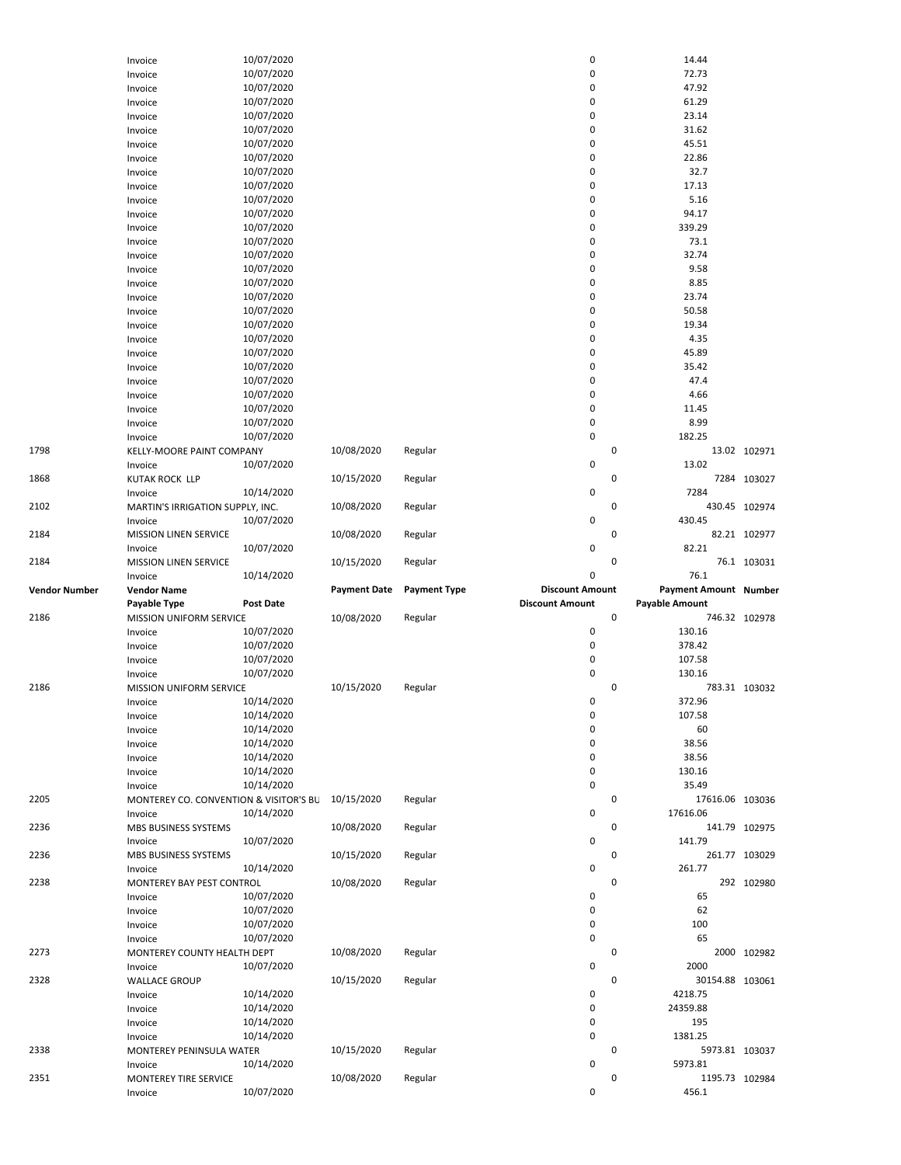|                      | Invoice                                | 10/07/2020       |                     |                     | 0                      |             | 14.44                   |               |
|----------------------|----------------------------------------|------------------|---------------------|---------------------|------------------------|-------------|-------------------------|---------------|
|                      | Invoice                                | 10/07/2020       |                     |                     | 0                      |             | 72.73                   |               |
|                      | Invoice                                | 10/07/2020       |                     |                     | 0                      |             | 47.92                   |               |
|                      |                                        |                  |                     |                     | 0                      |             | 61.29                   |               |
|                      | Invoice                                | 10/07/2020       |                     |                     |                        |             |                         |               |
|                      | Invoice                                | 10/07/2020       |                     |                     | 0                      |             | 23.14                   |               |
|                      | Invoice                                | 10/07/2020       |                     |                     | 0                      |             | 31.62                   |               |
|                      | Invoice                                | 10/07/2020       |                     |                     | 0                      |             | 45.51                   |               |
|                      | Invoice                                | 10/07/2020       |                     |                     | 0                      |             | 22.86                   |               |
|                      | Invoice                                | 10/07/2020       |                     |                     | 0                      |             | 32.7                    |               |
|                      | Invoice                                | 10/07/2020       |                     |                     | 0                      |             | 17.13                   |               |
|                      | Invoice                                | 10/07/2020       |                     |                     | 0                      |             | 5.16                    |               |
|                      | Invoice                                | 10/07/2020       |                     |                     | 0                      |             | 94.17                   |               |
|                      | Invoice                                | 10/07/2020       |                     |                     | 0                      |             | 339.29                  |               |
|                      |                                        | 10/07/2020       |                     |                     | 0                      |             | 73.1                    |               |
|                      | Invoice                                |                  |                     |                     | 0                      |             |                         |               |
|                      | Invoice                                | 10/07/2020       |                     |                     |                        |             | 32.74                   |               |
|                      | Invoice                                | 10/07/2020       |                     |                     | 0                      |             | 9.58                    |               |
|                      | Invoice                                | 10/07/2020       |                     |                     | 0                      |             | 8.85                    |               |
|                      | Invoice                                | 10/07/2020       |                     |                     | 0                      |             | 23.74                   |               |
|                      | Invoice                                | 10/07/2020       |                     |                     | 0                      |             | 50.58                   |               |
|                      | Invoice                                | 10/07/2020       |                     |                     | 0                      |             | 19.34                   |               |
|                      | Invoice                                | 10/07/2020       |                     |                     | 0                      |             | 4.35                    |               |
|                      | Invoice                                | 10/07/2020       |                     |                     | 0                      |             | 45.89                   |               |
|                      | Invoice                                | 10/07/2020       |                     |                     | 0                      |             | 35.42                   |               |
|                      | Invoice                                | 10/07/2020       |                     |                     | 0                      |             | 47.4                    |               |
|                      |                                        | 10/07/2020       |                     |                     | 0                      |             | 4.66                    |               |
|                      | Invoice                                |                  |                     |                     |                        |             |                         |               |
|                      | Invoice                                | 10/07/2020       |                     |                     | 0                      |             | 11.45                   |               |
|                      | Invoice                                | 10/07/2020       |                     |                     | 0                      |             | 8.99                    |               |
|                      | Invoice                                | 10/07/2020       |                     |                     | 0                      |             | 182.25                  |               |
| 1798                 | KELLY-MOORE PAINT COMPANY              |                  | 10/08/2020          | Regular             |                        | 0           |                         | 13.02 102971  |
|                      | Invoice                                | 10/07/2020       |                     |                     | 0                      |             | 13.02                   |               |
| 1868                 | <b>KUTAK ROCK LLP</b>                  |                  | 10/15/2020          | Regular             |                        | 0           |                         | 7284 103027   |
|                      | Invoice                                | 10/14/2020       |                     |                     | 0                      |             | 7284                    |               |
| 2102                 | MARTIN'S IRRIGATION SUPPLY, INC.       |                  | 10/08/2020          | Regular             |                        | $\pmb{0}$   |                         | 430.45 102974 |
|                      | Invoice                                | 10/07/2020       |                     |                     | 0                      |             | 430.45                  |               |
| 2184                 |                                        |                  |                     | Regular             |                        | $\pmb{0}$   |                         | 82.21 102977  |
|                      | MISSION LINEN SERVICE                  |                  | 10/08/2020          |                     |                        |             |                         |               |
|                      | Invoice                                | 10/07/2020       |                     |                     | 0                      |             | 82.21                   |               |
| 2184                 | MISSION LINEN SERVICE                  |                  | 10/15/2020          | Regular             |                        | $\pmb{0}$   |                         | 76.1 103031   |
|                      |                                        |                  |                     |                     |                        |             |                         |               |
|                      | Invoice                                | 10/14/2020       |                     |                     | 0                      |             | 76.1                    |               |
| <b>Vendor Number</b> | <b>Vendor Name</b>                     |                  | <b>Payment Date</b> | <b>Payment Type</b> | <b>Discount Amount</b> |             | Payment Amount Number   |               |
|                      | Payable Type                           | <b>Post Date</b> |                     |                     | <b>Discount Amount</b> |             | <b>Payable Amount</b>   |               |
| 2186                 | MISSION UNIFORM SERVICE                |                  | 10/08/2020          | Regular             |                        | $\mathbf 0$ |                         | 746.32 102978 |
|                      | Invoice                                | 10/07/2020       |                     |                     | 0                      |             | 130.16                  |               |
|                      |                                        |                  |                     |                     |                        |             |                         |               |
|                      | Invoice                                | 10/07/2020       |                     |                     | 0                      |             | 378.42                  |               |
|                      | Invoice                                | 10/07/2020       |                     |                     | 0                      |             | 107.58                  |               |
|                      | Invoice                                | 10/07/2020       |                     |                     | 0                      |             | 130.16                  |               |
| 2186                 | <b>MISSION UNIFORM SERVICE</b>         |                  | 10/15/2020          | Regular             |                        | 0           |                         | 783.31 103032 |
|                      | Invoice                                | 10/14/2020       |                     |                     | 0                      |             | 372.96                  |               |
|                      | Invoice                                | 10/14/2020       |                     |                     | 0                      |             | 107.58                  |               |
|                      | Invoice                                | 10/14/2020       |                     |                     | 0                      |             | 60                      |               |
|                      | Invoice                                | 10/14/2020       |                     |                     | 0                      |             | 38.56                   |               |
|                      | Invoice                                | 10/14/2020       |                     |                     | 0                      |             | 38.56                   |               |
|                      | Invoice                                | 10/14/2020       |                     |                     | 0                      |             | 130.16                  |               |
|                      | Invoice                                | 10/14/2020       |                     |                     | 0                      |             | 35.49                   |               |
| 2205                 |                                        |                  |                     |                     |                        | 0           | 17616.06 103036         |               |
|                      | MONTEREY CO. CONVENTION & VISITOR'S BL |                  | 10/15/2020          | Regular             |                        |             |                         |               |
|                      | Invoice                                | 10/14/2020       |                     |                     | 0                      |             | 17616.06                |               |
| 2236                 | MBS BUSINESS SYSTEMS                   |                  | 10/08/2020          | Regular             |                        | 0           |                         | 141.79 102975 |
|                      | Invoice                                | 10/07/2020       |                     |                     | 0                      |             | 141.79                  |               |
| 2236                 | MBS BUSINESS SYSTEMS                   |                  | 10/15/2020          | Regular             |                        | 0           |                         | 261.77 103029 |
|                      | Invoice                                | 10/14/2020       |                     |                     | 0                      |             | 261.77                  |               |
| 2238                 | MONTEREY BAY PEST CONTROL              |                  | 10/08/2020          | Regular             |                        | $\mathbf 0$ |                         | 292 102980    |
|                      | Invoice                                | 10/07/2020       |                     |                     | 0                      |             | 65                      |               |
|                      | Invoice                                | 10/07/2020       |                     |                     | 0                      |             | 62                      |               |
|                      | Invoice                                | 10/07/2020       |                     |                     | 0                      |             | 100                     |               |
|                      | Invoice                                | 10/07/2020       |                     |                     | 0                      |             | 65                      |               |
| 2273                 | MONTEREY COUNTY HEALTH DEPT            |                  | 10/08/2020          | Regular             |                        | 0           |                         | 2000 102982   |
|                      |                                        |                  |                     |                     | 0                      |             | 2000                    |               |
|                      | Invoice                                | 10/07/2020       |                     |                     |                        |             |                         |               |
|                      | <b>WALLACE GROUP</b>                   |                  | 10/15/2020          | Regular             |                        | 0           | 30154.88 103061         |               |
|                      | Invoice                                | 10/14/2020       |                     |                     | 0                      |             | 4218.75                 |               |
|                      | Invoice                                | 10/14/2020       |                     |                     | 0                      |             | 24359.88                |               |
| 2328                 | Invoice                                | 10/14/2020       |                     |                     | 0                      |             | 195                     |               |
|                      | Invoice                                | 10/14/2020       |                     |                     | 0                      |             | 1381.25                 |               |
| 2338                 | MONTEREY PENINSULA WATER               |                  | 10/15/2020          | Regular             |                        | 0           | 5973.81 103037          |               |
|                      | Invoice                                | 10/14/2020       |                     |                     | 0                      |             | 5973.81                 |               |
| 2351                 | MONTEREY TIRE SERVICE<br>Invoice       | 10/07/2020       | 10/08/2020          | Regular             | 0                      | 0           | 1195.73 102984<br>456.1 |               |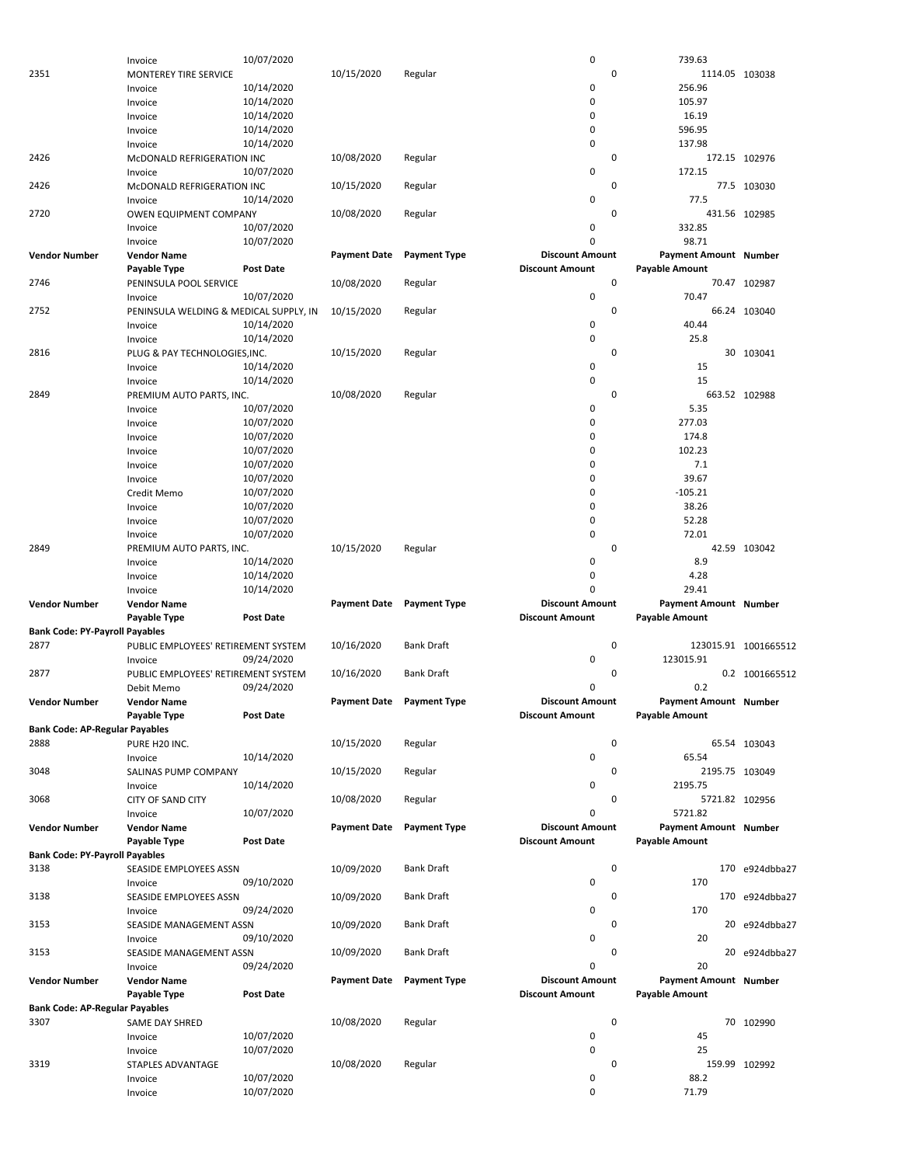|                                       | Invoice                                | 10/07/2020       |                     |                     | 0                      | 739.63                       |                      |
|---------------------------------------|----------------------------------------|------------------|---------------------|---------------------|------------------------|------------------------------|----------------------|
| 2351                                  | MONTEREY TIRE SERVICE                  |                  | 10/15/2020          | Regular             | 0                      | 1114.05 103038               |                      |
|                                       |                                        |                  |                     |                     |                        |                              |                      |
|                                       | Invoice                                | 10/14/2020       |                     |                     | 0                      | 256.96                       |                      |
|                                       | Invoice                                | 10/14/2020       |                     |                     | 0                      | 105.97                       |                      |
|                                       | Invoice                                | 10/14/2020       |                     |                     | 0                      | 16.19                        |                      |
|                                       |                                        |                  |                     |                     |                        |                              |                      |
|                                       | Invoice                                | 10/14/2020       |                     |                     | 0                      | 596.95                       |                      |
|                                       | Invoice                                | 10/14/2020       |                     |                     | 0                      | 137.98                       |                      |
| 2426                                  | McDONALD REFRIGERATION INC             |                  | 10/08/2020          | Regular             | 0                      |                              | 172.15 102976        |
|                                       |                                        |                  |                     |                     |                        |                              |                      |
|                                       | Invoice                                | 10/07/2020       |                     |                     | 0                      | 172.15                       |                      |
| 2426                                  | McDONALD REFRIGERATION INC             |                  | 10/15/2020          | Regular             | 0                      |                              | 77.5 103030          |
|                                       | Invoice                                | 10/14/2020       |                     |                     | 0                      | 77.5                         |                      |
|                                       |                                        |                  |                     |                     |                        |                              |                      |
| 2720                                  | OWEN EQUIPMENT COMPANY                 |                  | 10/08/2020          | Regular             | 0                      |                              | 431.56 102985        |
|                                       | Invoice                                | 10/07/2020       |                     |                     | 0                      | 332.85                       |                      |
|                                       | Invoice                                | 10/07/2020       |                     |                     | 0                      | 98.71                        |                      |
|                                       |                                        |                  |                     |                     |                        |                              |                      |
| <b>Vendor Number</b>                  | <b>Vendor Name</b>                     |                  | <b>Payment Date</b> | <b>Payment Type</b> | <b>Discount Amount</b> | Payment Amount Number        |                      |
|                                       | Payable Type                           | <b>Post Date</b> |                     |                     | <b>Discount Amount</b> | <b>Payable Amount</b>        |                      |
| 2746                                  | PENINSULA POOL SERVICE                 |                  | 10/08/2020          | Regular             | 0                      |                              | 70.47 102987         |
|                                       |                                        |                  |                     |                     |                        |                              |                      |
|                                       | Invoice                                | 10/07/2020       |                     |                     | 0                      | 70.47                        |                      |
| 2752                                  | PENINSULA WELDING & MEDICAL SUPPLY, IN |                  | 10/15/2020          | Regular             | 0                      |                              | 66.24 103040         |
|                                       | Invoice                                | 10/14/2020       |                     |                     | 0                      | 40.44                        |                      |
|                                       |                                        |                  |                     |                     |                        |                              |                      |
|                                       | Invoice                                | 10/14/2020       |                     |                     | 0                      | 25.8                         |                      |
| 2816                                  | PLUG & PAY TECHNOLOGIES, INC.          |                  | 10/15/2020          | Regular             | 0                      |                              | 30 103041            |
|                                       | Invoice                                | 10/14/2020       |                     |                     | 0                      | 15                           |                      |
|                                       |                                        |                  |                     |                     |                        |                              |                      |
|                                       | Invoice                                | 10/14/2020       |                     |                     | 0                      | 15                           |                      |
| 2849                                  | PREMIUM AUTO PARTS, INC.               |                  | 10/08/2020          | Regular             | $\mathbf 0$            |                              | 663.52 102988        |
|                                       | Invoice                                | 10/07/2020       |                     |                     | 0                      | 5.35                         |                      |
|                                       |                                        |                  |                     |                     |                        |                              |                      |
|                                       | Invoice                                | 10/07/2020       |                     |                     | 0                      | 277.03                       |                      |
|                                       | Invoice                                | 10/07/2020       |                     |                     | 0                      | 174.8                        |                      |
|                                       | Invoice                                | 10/07/2020       |                     |                     | 0                      | 102.23                       |                      |
|                                       |                                        |                  |                     |                     |                        |                              |                      |
|                                       | Invoice                                | 10/07/2020       |                     |                     | 0                      | 7.1                          |                      |
|                                       | Invoice                                | 10/07/2020       |                     |                     | 0                      | 39.67                        |                      |
|                                       | Credit Memo                            | 10/07/2020       |                     |                     | $\mathbf 0$            | $-105.21$                    |                      |
|                                       |                                        |                  |                     |                     |                        |                              |                      |
|                                       | Invoice                                | 10/07/2020       |                     |                     | 0                      | 38.26                        |                      |
|                                       | Invoice                                | 10/07/2020       |                     |                     | 0                      | 52.28                        |                      |
|                                       |                                        | 10/07/2020       |                     |                     | $\mathbf 0$            | 72.01                        |                      |
|                                       | Invoice                                |                  |                     |                     |                        |                              |                      |
| 2849                                  | PREMIUM AUTO PARTS, INC.               |                  | 10/15/2020          | Regular             | 0                      |                              | 42.59 103042         |
|                                       | Invoice                                | 10/14/2020       |                     |                     | 0                      | 8.9                          |                      |
|                                       | Invoice                                | 10/14/2020       |                     |                     | 0                      | 4.28                         |                      |
|                                       |                                        |                  |                     |                     |                        |                              |                      |
|                                       | Invoice                                | 10/14/2020       |                     |                     | 0                      | 29.41                        |                      |
|                                       |                                        |                  | <b>Payment Date</b> | <b>Payment Type</b> | <b>Discount Amount</b> | <b>Payment Amount Number</b> |                      |
|                                       |                                        |                  |                     |                     |                        |                              |                      |
| <b>Vendor Number</b>                  | <b>Vendor Name</b>                     |                  |                     |                     |                        |                              |                      |
|                                       | Payable Type                           | <b>Post Date</b> |                     |                     | <b>Discount Amount</b> | <b>Payable Amount</b>        |                      |
| <b>Bank Code: PY-Payroll Payables</b> |                                        |                  |                     |                     |                        |                              |                      |
|                                       |                                        |                  |                     |                     |                        |                              |                      |
| 2877                                  | PUBLIC EMPLOYEES' RETIREMENT SYSTEM    |                  | 10/16/2020          | <b>Bank Draft</b>   | 0                      |                              | 123015.91 1001665512 |
|                                       | Invoice                                | 09/24/2020       |                     |                     | 0                      | 123015.91                    |                      |
| 2877                                  | PUBLIC EMPLOYEES' RETIREMENT SYSTEM    |                  | 10/16/2020          | <b>Bank Draft</b>   | 0                      |                              | 0.2 1001665512       |
|                                       |                                        |                  |                     |                     |                        |                              |                      |
|                                       | Debit Memo                             | 09/24/2020       |                     |                     | 0                      | 0.2                          |                      |
| <b>Vendor Number</b>                  | <b>Vendor Name</b>                     |                  | <b>Payment Date</b> | <b>Payment Type</b> | <b>Discount Amount</b> | Payment Amount Number        |                      |
|                                       |                                        | Post Date        |                     |                     | <b>Discount Amount</b> |                              |                      |
|                                       | <b>Payable Type</b>                    |                  |                     |                     |                        | <b>Payable Amount</b>        |                      |
| <b>Bank Code: AP-Regular Payables</b> |                                        |                  |                     |                     |                        |                              |                      |
| 2888                                  | PURE H20 INC.                          |                  | 10/15/2020          | Regular             | 0                      |                              | 65.54 103043         |
|                                       | Invoice                                | 10/14/2020       |                     |                     | 0                      | 65.54                        |                      |
|                                       |                                        |                  |                     |                     |                        |                              |                      |
| 3048                                  | SALINAS PUMP COMPANY                   |                  | 10/15/2020          | Regular             | 0                      | 2195.75 103049               |                      |
|                                       | Invoice                                | 10/14/2020       |                     |                     | 0                      | 2195.75                      |                      |
| 3068                                  | <b>CITY OF SAND CITY</b>               |                  | 10/08/2020          | Regular             | 0                      | 5721.82 102956               |                      |
|                                       |                                        |                  |                     |                     |                        |                              |                      |
|                                       | Invoice                                | 10/07/2020       |                     |                     | 0                      | 5721.82                      |                      |
| <b>Vendor Number</b>                  | <b>Vendor Name</b>                     |                  | <b>Payment Date</b> | <b>Payment Type</b> | <b>Discount Amount</b> | Payment Amount Number        |                      |
|                                       | Payable Type                           | Post Date        |                     |                     | <b>Discount Amount</b> | <b>Payable Amount</b>        |                      |
|                                       |                                        |                  |                     |                     |                        |                              |                      |
| <b>Bank Code: PY-Payroll Payables</b> |                                        |                  |                     |                     |                        |                              |                      |
| 3138                                  | SEASIDE EMPLOYEES ASSN                 |                  | 10/09/2020          | <b>Bank Draft</b>   | 0                      |                              | 170 e924dbba27       |
|                                       | Invoice                                | 09/10/2020       |                     |                     | 0                      | 170                          |                      |
|                                       |                                        |                  |                     |                     |                        |                              |                      |
| 3138                                  | SEASIDE EMPLOYEES ASSN                 |                  | 10/09/2020          | <b>Bank Draft</b>   | 0                      |                              | 170 e924dbba27       |
|                                       | Invoice                                | 09/24/2020       |                     |                     | 0                      | 170                          |                      |
| 3153                                  | SEASIDE MANAGEMENT ASSN                |                  | 10/09/2020          | <b>Bank Draft</b>   | 0                      |                              | 20 e924dbba27        |
|                                       |                                        |                  |                     |                     |                        |                              |                      |
|                                       | Invoice                                | 09/10/2020       |                     |                     | 0                      | 20                           |                      |
| 3153                                  | SEASIDE MANAGEMENT ASSN                |                  | 10/09/2020          | <b>Bank Draft</b>   | 0                      |                              | 20 e924dbba27        |
|                                       | Invoice                                | 09/24/2020       |                     |                     | 0                      | 20                           |                      |
|                                       |                                        |                  |                     |                     |                        |                              |                      |
| <b>Vendor Number</b>                  | <b>Vendor Name</b>                     |                  | <b>Payment Date</b> | <b>Payment Type</b> | <b>Discount Amount</b> | Payment Amount Number        |                      |
|                                       | Payable Type                           | <b>Post Date</b> |                     |                     | <b>Discount Amount</b> | <b>Payable Amount</b>        |                      |
| <b>Bank Code: AP-Regular Payables</b> |                                        |                  |                     |                     |                        |                              |                      |
|                                       |                                        |                  |                     |                     |                        |                              |                      |
| 3307                                  | SAME DAY SHRED                         |                  | 10/08/2020          | Regular             | 0                      |                              | 70 102990            |
|                                       | Invoice                                | 10/07/2020       |                     |                     | 0                      | 45                           |                      |
|                                       |                                        |                  |                     |                     | 0                      | 25                           |                      |
|                                       | Invoice                                | 10/07/2020       |                     |                     |                        |                              |                      |
| 3319                                  | STAPLES ADVANTAGE                      |                  | 10/08/2020          | Regular             | 0                      |                              | 159.99 102992        |
|                                       | Invoice                                | 10/07/2020       |                     |                     | 0                      | 88.2                         |                      |
|                                       | Invoice                                | 10/07/2020       |                     |                     | 0                      | 71.79                        |                      |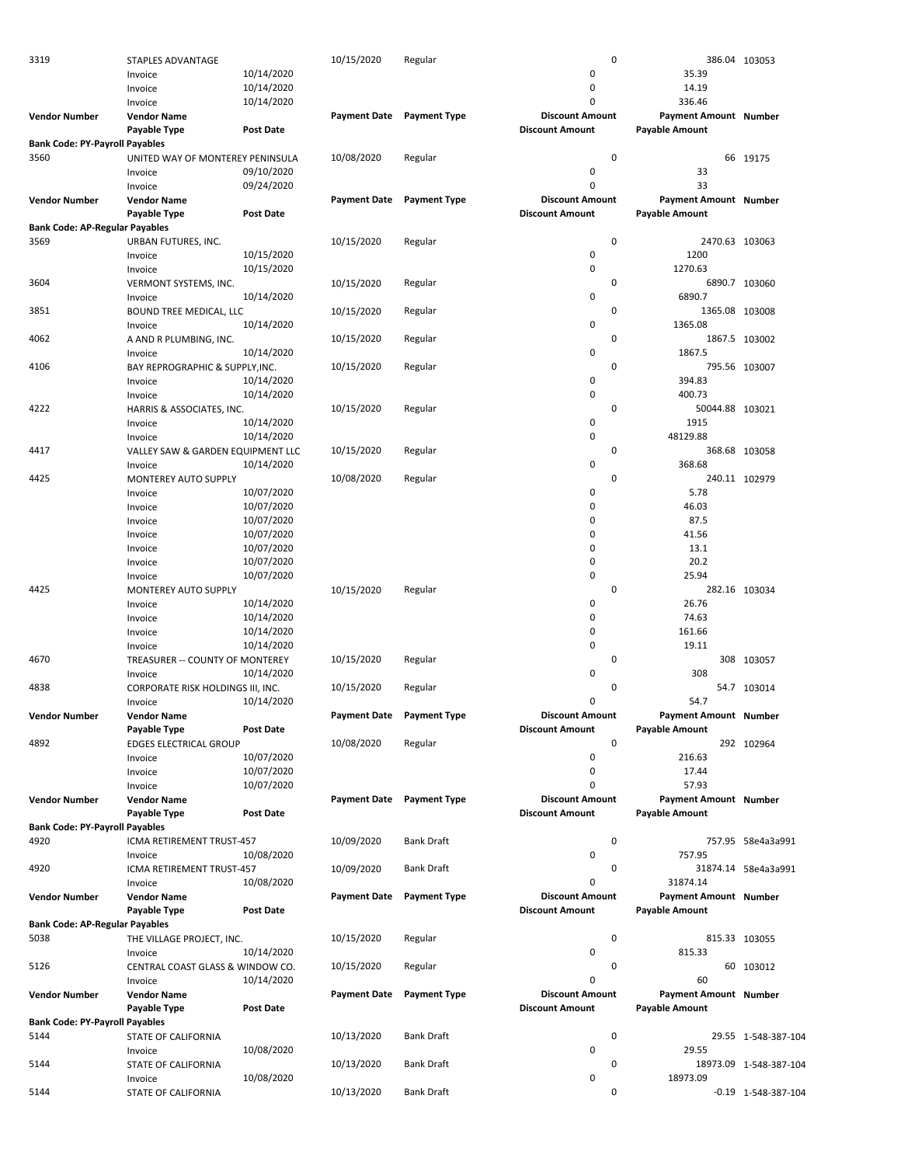| 3319                                  | STAPLES ADVANTAGE                 |                  | 10/15/2020          | Regular                   | 0                      |                              | 386.04 103053          |
|---------------------------------------|-----------------------------------|------------------|---------------------|---------------------------|------------------------|------------------------------|------------------------|
|                                       | Invoice                           | 10/14/2020       |                     |                           | 0                      | 35.39                        |                        |
|                                       | Invoice                           | 10/14/2020       |                     |                           | 0                      | 14.19                        |                        |
|                                       | Invoice                           | 10/14/2020       |                     |                           | $\Omega$               | 336.46                       |                        |
|                                       |                                   |                  |                     |                           | <b>Discount Amount</b> |                              |                        |
| <b>Vendor Number</b>                  | <b>Vendor Name</b>                |                  |                     | Payment Date Payment Type |                        | Payment Amount Number        |                        |
|                                       | Payable Type                      | Post Date        |                     |                           | <b>Discount Amount</b> | <b>Payable Amount</b>        |                        |
| <b>Bank Code: PY-Payroll Payables</b> |                                   |                  |                     |                           |                        |                              |                        |
| 3560                                  | UNITED WAY OF MONTEREY PENINSULA  |                  | 10/08/2020          | Regular                   | 0                      |                              | 66 19175               |
|                                       | Invoice                           | 09/10/2020       |                     |                           | 0                      | 33                           |                        |
|                                       | Invoice                           | 09/24/2020       |                     |                           | 0                      | 33                           |                        |
| <b>Vendor Number</b>                  | <b>Vendor Name</b>                |                  | <b>Payment Date</b> | <b>Payment Type</b>       | <b>Discount Amount</b> | Payment Amount Number        |                        |
|                                       | Payable Type                      | Post Date        |                     |                           | <b>Discount Amount</b> | <b>Payable Amount</b>        |                        |
|                                       |                                   |                  |                     |                           |                        |                              |                        |
| <b>Bank Code: AP-Regular Payables</b> |                                   |                  |                     |                           |                        |                              |                        |
| 3569                                  | URBAN FUTURES, INC.               |                  | 10/15/2020          | Regular                   | $\pmb{0}$              | 2470.63 103063               |                        |
|                                       | Invoice                           | 10/15/2020       |                     |                           | 0                      | 1200                         |                        |
|                                       | Invoice                           | 10/15/2020       |                     |                           | 0                      | 1270.63                      |                        |
| 3604                                  | VERMONT SYSTEMS, INC.             |                  | 10/15/2020          | Regular                   | 0                      |                              | 6890.7 103060          |
|                                       | Invoice                           | 10/14/2020       |                     |                           | 0                      | 6890.7                       |                        |
| 3851                                  | BOUND TREE MEDICAL, LLC           |                  | 10/15/2020          | Regular                   | 0                      | 1365.08 103008               |                        |
|                                       | Invoice                           | 10/14/2020       |                     |                           | 0                      | 1365.08                      |                        |
| 4062                                  |                                   |                  | 10/15/2020          | Regular                   | 0                      |                              | 1867.5 103002          |
|                                       | A AND R PLUMBING, INC.            |                  |                     |                           |                        |                              |                        |
|                                       | Invoice                           | 10/14/2020       |                     |                           | 0                      | 1867.5                       |                        |
| 4106                                  | BAY REPROGRAPHIC & SUPPLY, INC.   |                  | 10/15/2020          | Regular                   | $\mathbf 0$            |                              | 795.56 103007          |
|                                       | Invoice                           | 10/14/2020       |                     |                           | 0                      | 394.83                       |                        |
|                                       | Invoice                           | 10/14/2020       |                     |                           | 0                      | 400.73                       |                        |
| 4222                                  | HARRIS & ASSOCIATES, INC.         |                  | 10/15/2020          | Regular                   | $\mathbf 0$            | 50044.88 103021              |                        |
|                                       | Invoice                           | 10/14/2020       |                     |                           | 0                      | 1915                         |                        |
|                                       | Invoice                           | 10/14/2020       |                     |                           | 0                      | 48129.88                     |                        |
| 4417                                  | VALLEY SAW & GARDEN EQUIPMENT LLC |                  | 10/15/2020          | Regular                   | 0                      |                              | 368.68 103058          |
|                                       |                                   |                  |                     |                           | 0                      |                              |                        |
|                                       | Invoice                           | 10/14/2020       |                     |                           |                        | 368.68                       |                        |
| 4425                                  | <b>MONTEREY AUTO SUPPLY</b>       |                  | 10/08/2020          | Regular                   | 0                      |                              | 240.11 102979          |
|                                       | Invoice                           | 10/07/2020       |                     |                           | 0                      | 5.78                         |                        |
|                                       | Invoice                           | 10/07/2020       |                     |                           | 0                      | 46.03                        |                        |
|                                       | Invoice                           | 10/07/2020       |                     |                           | 0                      | 87.5                         |                        |
|                                       | Invoice                           | 10/07/2020       |                     |                           | 0                      | 41.56                        |                        |
|                                       | Invoice                           | 10/07/2020       |                     |                           | 0                      | 13.1                         |                        |
|                                       | Invoice                           | 10/07/2020       |                     |                           | 0                      | 20.2                         |                        |
|                                       |                                   |                  |                     |                           | 0                      | 25.94                        |                        |
|                                       | Invoice                           | 10/07/2020       |                     |                           |                        |                              |                        |
| 4425                                  | MONTEREY AUTO SUPPLY              |                  | 10/15/2020          | Regular                   | 0                      |                              | 282.16 103034          |
|                                       | Invoice                           | 10/14/2020       |                     |                           | 0                      | 26.76                        |                        |
|                                       | Invoice                           | 10/14/2020       |                     |                           | 0                      | 74.63                        |                        |
|                                       | Invoice                           | 10/14/2020       |                     |                           | $\mathbf 0$            | 161.66                       |                        |
|                                       | Invoice                           | 10/14/2020       |                     |                           | 0                      | 19.11                        |                        |
| 4670                                  | TREASURER -- COUNTY OF MONTEREY   |                  | 10/15/2020          | Regular                   | 0                      |                              | 308 103057             |
|                                       | Invoice                           | 10/14/2020       |                     |                           | 0                      | 308                          |                        |
| 4838                                  |                                   |                  |                     |                           | 0                      |                              |                        |
|                                       | CORPORATE RISK HOLDINGS III, INC. |                  | 10/15/2020          | Regular                   |                        |                              | 54.7 103014            |
|                                       | Invoice                           | 10/14/2020       |                     |                           | 0                      | 54.7                         |                        |
| Vendor Number                         | Vendor Name                       |                  |                     | Payment Date Payment Type | <b>Discount Amount</b> | <b>Payment Amount Number</b> |                        |
|                                       | Payable Type                      | Post Date        |                     |                           | <b>Discount Amount</b> | <b>Payable Amount</b>        |                        |
| 4892                                  | <b>EDGES ELECTRICAL GROUP</b>     |                  | 10/08/2020          | Regular                   | 0                      |                              | 292 102964             |
|                                       | Invoice                           | 10/07/2020       |                     |                           | 0                      | 216.63                       |                        |
|                                       | Invoice                           | 10/07/2020       |                     |                           | 0                      | 17.44                        |                        |
|                                       | Invoice                           | 10/07/2020       |                     |                           | 0                      | 57.93                        |                        |
| <b>Vendor Number</b>                  |                                   |                  |                     | Payment Date Payment Type | <b>Discount Amount</b> | Payment Amount Number        |                        |
|                                       | <b>Vendor Name</b>                |                  |                     |                           |                        |                              |                        |
|                                       | Payable Type                      | Post Date        |                     |                           | <b>Discount Amount</b> | <b>Payable Amount</b>        |                        |
| <b>Bank Code: PY-Payroll Payables</b> |                                   |                  |                     |                           |                        |                              |                        |
| 4920                                  | ICMA RETIREMENT TRUST-457         |                  | 10/09/2020          | <b>Bank Draft</b>         | 0                      |                              | 757.95 58e4a3a991      |
|                                       | Invoice                           | 10/08/2020       |                     |                           | 0                      | 757.95                       |                        |
| 4920                                  | ICMA RETIREMENT TRUST-457         |                  | 10/09/2020          | <b>Bank Draft</b>         | 0                      |                              | 31874.14 58e4a3a991    |
|                                       | Invoice                           | 10/08/2020       |                     |                           | 0                      | 31874.14                     |                        |
| <b>Vendor Number</b>                  | <b>Vendor Name</b>                |                  | <b>Payment Date</b> | <b>Payment Type</b>       | <b>Discount Amount</b> | <b>Payment Amount Number</b> |                        |
|                                       |                                   |                  |                     |                           |                        |                              |                        |
|                                       | Payable Type                      | <b>Post Date</b> |                     |                           | <b>Discount Amount</b> | <b>Payable Amount</b>        |                        |
| <b>Bank Code: AP-Regular Payables</b> |                                   |                  |                     |                           |                        |                              |                        |
| 5038                                  | THE VILLAGE PROJECT, INC.         |                  | 10/15/2020          | Regular                   | 0                      |                              | 815.33 103055          |
|                                       | Invoice                           | 10/14/2020       |                     |                           | 0                      | 815.33                       |                        |
| 5126                                  | CENTRAL COAST GLASS & WINDOW CO.  |                  | 10/15/2020          | Regular                   | 0                      |                              | 60 103012              |
|                                       | Invoice                           | 10/14/2020       |                     |                           | 0                      | 60                           |                        |
| <b>Vendor Number</b>                  | <b>Vendor Name</b>                |                  | <b>Payment Date</b> | <b>Payment Type</b>       | <b>Discount Amount</b> | Payment Amount Number        |                        |
|                                       |                                   |                  |                     |                           |                        |                              |                        |
|                                       | Payable Type                      | <b>Post Date</b> |                     |                           | <b>Discount Amount</b> | <b>Payable Amount</b>        |                        |
| <b>Bank Code: PY-Payroll Payables</b> |                                   |                  |                     |                           |                        |                              |                        |
| 5144                                  | STATE OF CALIFORNIA               |                  | 10/13/2020          | <b>Bank Draft</b>         | 0                      |                              | 29.55 1-548-387-104    |
|                                       | Invoice                           | 10/08/2020       |                     |                           | 0                      | 29.55                        |                        |
| 5144                                  | STATE OF CALIFORNIA               |                  | 10/13/2020          | <b>Bank Draft</b>         | 0                      |                              | 18973.09 1-548-387-104 |
|                                       | Invoice                           | 10/08/2020       |                     |                           | 0                      | 18973.09                     |                        |
| 5144                                  | STATE OF CALIFORNIA               |                  | 10/13/2020          | <b>Bank Draft</b>         | 0                      |                              | $-0.19$ 1-548-387-104  |
|                                       |                                   |                  |                     |                           |                        |                              |                        |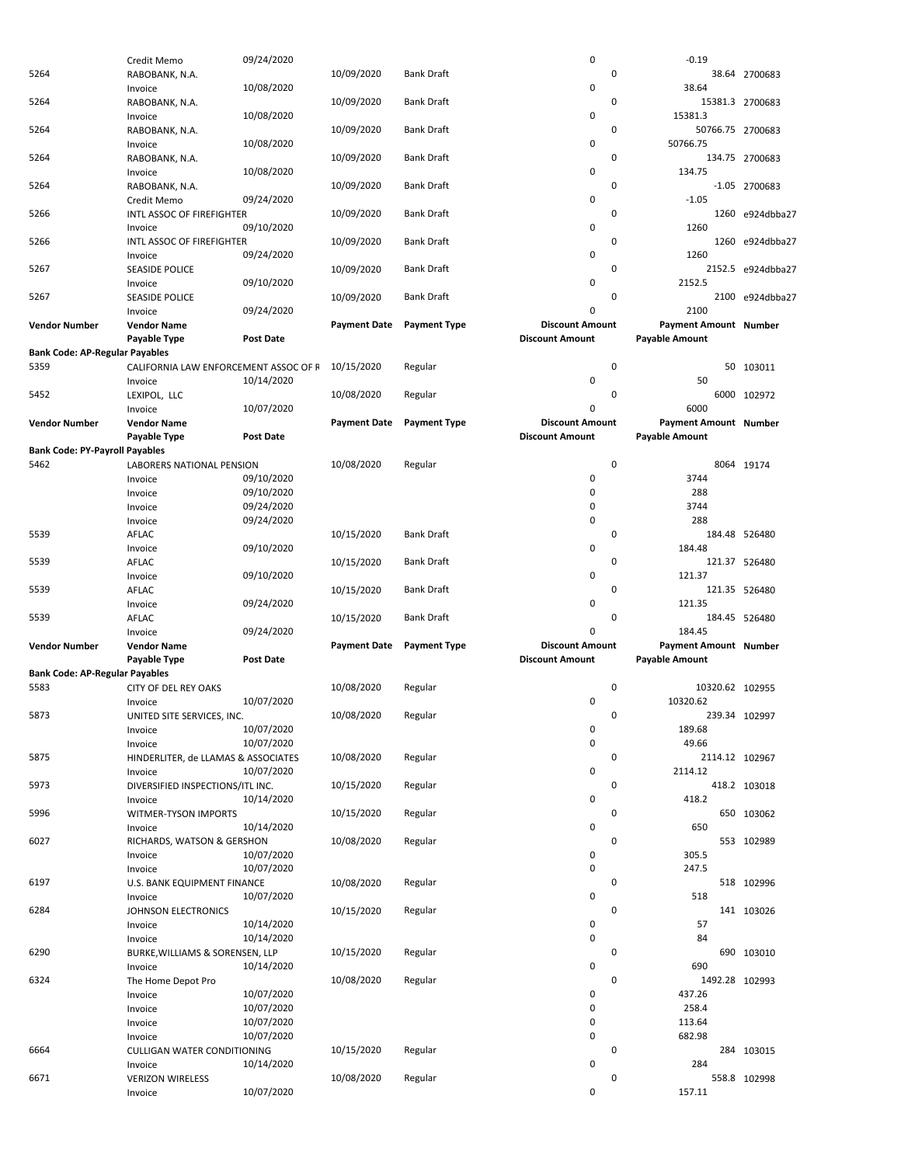|                                       | Credit Memo                           | 09/24/2020       |                     |                     | 0                      | $-0.19$               |                   |
|---------------------------------------|---------------------------------------|------------------|---------------------|---------------------|------------------------|-----------------------|-------------------|
| 5264                                  | RABOBANK, N.A.                        |                  | 10/09/2020          | Bank Draft          |                        | 0                     | 38.64 2700683     |
|                                       |                                       | 10/08/2020       |                     |                     | 0                      | 38.64                 |                   |
|                                       | Invoice                               |                  |                     |                     |                        |                       |                   |
| 5264                                  | RABOBANK, N.A.                        |                  | 10/09/2020          | <b>Bank Draft</b>   |                        | 0                     | 15381.3 2700683   |
|                                       | Invoice                               | 10/08/2020       |                     |                     | 0                      | 15381.3               |                   |
| 5264                                  | RABOBANK, N.A.                        |                  | 10/09/2020          | <b>Bank Draft</b>   |                        | 0                     | 50766.75 2700683  |
|                                       |                                       |                  |                     |                     | 0                      | 50766.75              |                   |
|                                       | Invoice                               | 10/08/2020       |                     |                     |                        |                       |                   |
| 5264                                  | RABOBANK, N.A.                        |                  | 10/09/2020          | Bank Draft          |                        | 0                     | 134.75 2700683    |
|                                       | Invoice                               | 10/08/2020       |                     |                     | 0                      | 134.75                |                   |
| 5264                                  | RABOBANK, N.A.                        |                  | 10/09/2020          | <b>Bank Draft</b>   |                        | 0                     | -1.05 2700683     |
|                                       | Credit Memo                           |                  |                     |                     | 0                      | $-1.05$               |                   |
|                                       |                                       | 09/24/2020       |                     |                     |                        |                       |                   |
| 5266                                  | INTL ASSOC OF FIREFIGHTER             |                  | 10/09/2020          | <b>Bank Draft</b>   |                        | 0                     | 1260 e924dbba27   |
|                                       | Invoice                               | 09/10/2020       |                     |                     | 0                      | 1260                  |                   |
| 5266                                  | INTL ASSOC OF FIREFIGHTER             |                  | 10/09/2020          | Bank Draft          |                        | $\mathbf 0$           | 1260 e924dbba27   |
|                                       | Invoice                               | 09/24/2020       |                     |                     | 0                      | 1260                  |                   |
|                                       |                                       |                  |                     |                     |                        |                       |                   |
| 5267                                  | <b>SEASIDE POLICE</b>                 |                  | 10/09/2020          | <b>Bank Draft</b>   |                        | 0                     | 2152.5 e924dbba27 |
|                                       | Invoice                               | 09/10/2020       |                     |                     | 0                      | 2152.5                |                   |
| 5267                                  | <b>SEASIDE POLICE</b>                 |                  | 10/09/2020          | <b>Bank Draft</b>   |                        | $\mathbf 0$           | 2100 e924dbba27   |
|                                       | Invoice                               | 09/24/2020       |                     |                     | $\mathbf 0$            | 2100                  |                   |
|                                       |                                       |                  |                     |                     |                        |                       |                   |
| <b>Vendor Number</b>                  | <b>Vendor Name</b>                    |                  | <b>Payment Date</b> | <b>Payment Type</b> | <b>Discount Amount</b> | Payment Amount Number |                   |
|                                       | Payable Type                          | <b>Post Date</b> |                     |                     | <b>Discount Amount</b> | <b>Payable Amount</b> |                   |
| <b>Bank Code: AP-Regular Payables</b> |                                       |                  |                     |                     |                        |                       |                   |
| 5359                                  | CALIFORNIA LAW ENFORCEMENT ASSOC OF F |                  | 10/15/2020          | Regular             |                        | 0                     | 50 103011         |
|                                       |                                       |                  |                     |                     |                        |                       |                   |
|                                       | Invoice                               | 10/14/2020       |                     |                     | 0                      | 50                    |                   |
| 5452                                  | LEXIPOL, LLC                          |                  | 10/08/2020          | Regular             |                        | 0                     | 6000 102972       |
|                                       | Invoice                               | 10/07/2020       |                     |                     | $\mathbf 0$            | 6000                  |                   |
| <b>Vendor Number</b>                  | <b>Vendor Name</b>                    |                  | <b>Payment Date</b> | <b>Payment Type</b> | <b>Discount Amount</b> | Payment Amount Number |                   |
|                                       |                                       |                  |                     |                     |                        |                       |                   |
|                                       | Payable Type                          | <b>Post Date</b> |                     |                     | <b>Discount Amount</b> | <b>Payable Amount</b> |                   |
| <b>Bank Code: PY-Payroll Payables</b> |                                       |                  |                     |                     |                        |                       |                   |
| 5462                                  | LABORERS NATIONAL PENSION             |                  | 10/08/2020          | Regular             |                        | $\mathbf 0$           | 8064 19174        |
|                                       | Invoice                               | 09/10/2020       |                     |                     | 0                      | 3744                  |                   |
|                                       |                                       |                  |                     |                     |                        |                       |                   |
|                                       | Invoice                               | 09/10/2020       |                     |                     | 0                      | 288                   |                   |
|                                       | Invoice                               | 09/24/2020       |                     |                     | 0                      | 3744                  |                   |
|                                       | Invoice                               | 09/24/2020       |                     |                     | $\mathbf 0$            | 288                   |                   |
| 5539                                  | AFLAC                                 |                  | 10/15/2020          | Bank Draft          |                        | 0                     | 184.48 526480     |
|                                       |                                       |                  |                     |                     | 0                      | 184.48                |                   |
|                                       | Invoice                               | 09/10/2020       |                     |                     |                        |                       |                   |
| 5539                                  | AFLAC                                 |                  | 10/15/2020          | <b>Bank Draft</b>   |                        | 0                     | 121.37 526480     |
|                                       | Invoice                               | 09/10/2020       |                     |                     | 0                      | 121.37                |                   |
| 5539                                  | AFLAC                                 |                  | 10/15/2020          | Bank Draft          |                        | 0                     | 121.35 526480     |
|                                       |                                       | 09/24/2020       |                     |                     | 0                      | 121.35                |                   |
|                                       | Invoice                               |                  |                     |                     |                        |                       |                   |
| 5539                                  | AFLAC                                 |                  | 10/15/2020          | <b>Bank Draft</b>   |                        | 0                     | 184.45 526480     |
|                                       | Invoice                               | 09/24/2020       |                     |                     | $\mathbf 0$            | 184.45                |                   |
| <b>Vendor Number</b>                  | <b>Vendor Name</b>                    |                  | <b>Payment Date</b> | <b>Payment Type</b> | <b>Discount Amount</b> | Payment Amount Number |                   |
|                                       |                                       | <b>Post Date</b> |                     |                     |                        | <b>Payable Amount</b> |                   |
|                                       |                                       |                  |                     |                     |                        |                       |                   |
|                                       | Payable Type                          |                  |                     |                     | <b>Discount Amount</b> |                       |                   |
| <b>Bank Code: AP-Regular Payables</b> |                                       |                  |                     |                     |                        |                       |                   |
| 5583                                  | <b>CITY OF DEL REY OAKS</b>           |                  | 10/08/2020          | Regular             |                        | 0                     | 10320.62 102955   |
|                                       |                                       |                  |                     |                     | 0                      | 10320.62              |                   |
|                                       | Invoice                               | 10/07/2020       |                     |                     |                        |                       |                   |
| 5873                                  | UNITED SITE SERVICES, INC.            |                  | 10/08/2020          | Regular             |                        | 0                     | 239.34 102997     |
|                                       | Invoice                               | 10/07/2020       |                     |                     | 0                      | 189.68                |                   |
|                                       | Invoice                               | 10/07/2020       |                     |                     | $\pmb{0}$              | 49.66                 |                   |
| 5875                                  |                                       |                  | 10/08/2020          | Regular             |                        | 0                     |                   |
|                                       | HINDERLITER, de LLAMAS & ASSOCIATES   |                  |                     |                     |                        |                       | 2114.12 102967    |
|                                       | Invoice                               | 10/07/2020       |                     |                     | 0                      | 2114.12               |                   |
| 5973                                  | DIVERSIFIED INSPECTIONS/ITL INC.      |                  | 10/15/2020          | Regular             |                        | 0                     | 418.2 103018      |
|                                       | Invoice                               | 10/14/2020       |                     |                     | 0                      | 418.2                 |                   |
| 5996                                  | WITMER-TYSON IMPORTS                  |                  | 10/15/2020          | Regular             |                        | 0                     | 650 103062        |
|                                       |                                       |                  |                     |                     |                        |                       |                   |
|                                       | Invoice                               | 10/14/2020       |                     |                     | 0                      | 650                   |                   |
| 6027                                  | RICHARDS, WATSON & GERSHON            |                  | 10/08/2020          | Regular             |                        | 0                     | 553 102989        |
|                                       | Invoice                               | 10/07/2020       |                     |                     | 0                      | 305.5                 |                   |
|                                       | Invoice                               | 10/07/2020       |                     |                     | 0                      | 247.5                 |                   |
|                                       |                                       |                  |                     |                     |                        | 0                     |                   |
| 6197                                  | U.S. BANK EQUIPMENT FINANCE           |                  | 10/08/2020          | Regular             |                        |                       | 518 102996        |
|                                       | Invoice                               | 10/07/2020       |                     |                     | 0                      | 518                   |                   |
| 6284                                  | JOHNSON ELECTRONICS                   |                  | 10/15/2020          | Regular             |                        | 0                     | 141 103026        |
|                                       | Invoice                               | 10/14/2020       |                     |                     | 0                      | 57                    |                   |
|                                       | Invoice                               | 10/14/2020       |                     |                     | 0                      | 84                    |                   |
|                                       |                                       |                  |                     |                     |                        |                       |                   |
| 6290                                  | BURKE, WILLIAMS & SORENSEN, LLP       |                  | 10/15/2020          | Regular             |                        | 0                     | 690 103010        |
|                                       | Invoice                               | 10/14/2020       |                     |                     | 0                      | 690                   |                   |
| 6324                                  | The Home Depot Pro                    |                  | 10/08/2020          | Regular             |                        | 0                     | 1492.28 102993    |
|                                       | Invoice                               | 10/07/2020       |                     |                     | 0                      | 437.26                |                   |
|                                       |                                       |                  |                     |                     |                        |                       |                   |
|                                       | Invoice                               | 10/07/2020       |                     |                     | 0                      | 258.4                 |                   |
|                                       | Invoice                               | 10/07/2020       |                     |                     | 0                      | 113.64                |                   |
|                                       | Invoice                               | 10/07/2020       |                     |                     | 0                      | 682.98                |                   |
| 6664                                  | CULLIGAN WATER CONDITIONING           |                  | 10/15/2020          | Regular             |                        | 0                     | 284 103015        |
|                                       | Invoice                               | 10/14/2020       |                     |                     | 0                      | 284                   |                   |
|                                       |                                       |                  |                     |                     |                        |                       |                   |
| 6671                                  | <b>VERIZON WIRELESS</b><br>Invoice    | 10/07/2020       | 10/08/2020          | Regular             | 0                      | 0<br>157.11           | 558.8 102998      |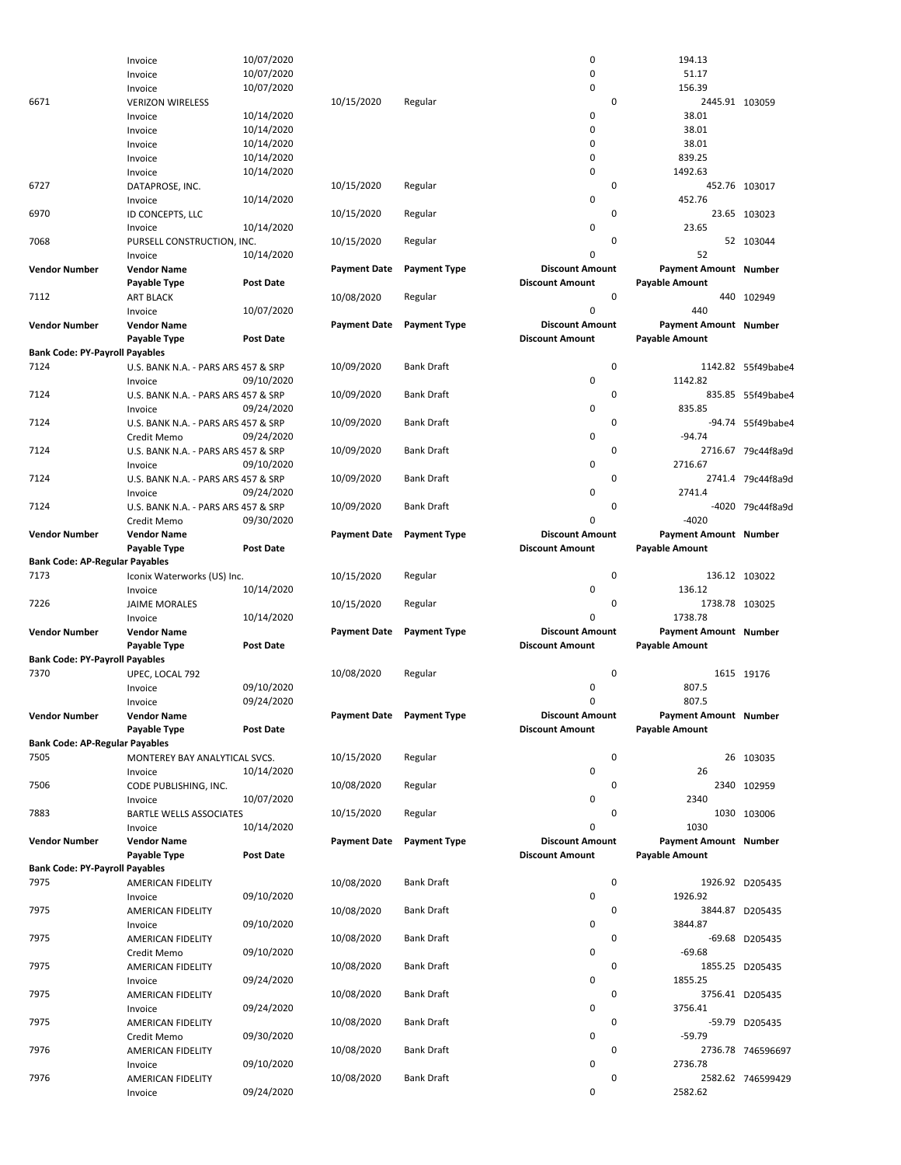|                                               | Invoice                             | 10/07/2020       |                           |                     | 0                      | 194.13                       |                    |
|-----------------------------------------------|-------------------------------------|------------------|---------------------------|---------------------|------------------------|------------------------------|--------------------|
|                                               | Invoice                             | 10/07/2020       |                           |                     | 0                      | 51.17                        |                    |
|                                               | Invoice                             | 10/07/2020       |                           |                     | $\mathbf 0$            | 156.39                       |                    |
| 6671                                          | <b>VERIZON WIRELESS</b>             |                  | 10/15/2020                | Regular             | 0                      | 2445.91 103059               |                    |
|                                               | Invoice                             | 10/14/2020       |                           |                     | 0                      | 38.01                        |                    |
|                                               | Invoice                             | 10/14/2020       |                           |                     | $\mathbf 0$            | 38.01                        |                    |
|                                               | Invoice                             | 10/14/2020       |                           |                     | $\mathbf 0$            | 38.01                        |                    |
|                                               | Invoice                             | 10/14/2020       |                           |                     | $\mathbf 0$            | 839.25                       |                    |
|                                               | Invoice                             | 10/14/2020       |                           |                     | 0                      | 1492.63                      |                    |
| 6727                                          | DATAPROSE, INC.                     |                  | 10/15/2020                | Regular             | 0                      |                              | 452.76 103017      |
|                                               | Invoice                             | 10/14/2020       |                           |                     | 0                      | 452.76                       |                    |
| 6970                                          | ID CONCEPTS, LLC                    |                  | 10/15/2020                | Regular             | 0                      |                              | 23.65 103023       |
|                                               | Invoice                             | 10/14/2020       |                           |                     | 0                      | 23.65                        |                    |
| 7068                                          | PURSELL CONSTRUCTION, INC.          |                  | 10/15/2020                | Regular             | 0                      |                              | 52 103044          |
|                                               | Invoice                             | 10/14/2020       |                           |                     | 0                      | 52                           |                    |
| <b>Vendor Number</b>                          | <b>Vendor Name</b>                  |                  | <b>Payment Date</b>       | <b>Payment Type</b> | <b>Discount Amount</b> | <b>Payment Amount Number</b> |                    |
|                                               | Payable Type                        | Post Date        |                           |                     | <b>Discount Amount</b> | <b>Payable Amount</b>        |                    |
|                                               |                                     |                  |                           |                     | 0                      |                              |                    |
| 7112                                          | <b>ART BLACK</b>                    |                  | 10/08/2020                | Regular             |                        |                              | 440 102949         |
|                                               | Invoice                             | 10/07/2020       |                           |                     | $\mathbf 0$            | 440                          |                    |
| <b>Vendor Number</b>                          | <b>Vendor Name</b>                  |                  | <b>Payment Date</b>       | <b>Payment Type</b> | <b>Discount Amount</b> | Payment Amount Number        |                    |
|                                               | Payable Type                        | <b>Post Date</b> |                           |                     | <b>Discount Amount</b> | <b>Payable Amount</b>        |                    |
| <b>Bank Code: PY-Payroll Payables</b>         |                                     |                  |                           |                     |                        |                              |                    |
| 7124                                          | U.S. BANK N.A. - PARS ARS 457 & SRP |                  | 10/09/2020                | <b>Bank Draft</b>   | 0                      |                              | 1142.82 55f49babe4 |
|                                               | Invoice                             | 09/10/2020       |                           |                     | 0                      | 1142.82                      |                    |
| 7124                                          | U.S. BANK N.A. - PARS ARS 457 & SRP |                  | 10/09/2020                | <b>Bank Draft</b>   | 0                      |                              | 835.85 55f49babe4  |
|                                               | Invoice                             | 09/24/2020       |                           |                     | 0                      | 835.85                       |                    |
| 7124                                          | U.S. BANK N.A. - PARS ARS 457 & SRP |                  | 10/09/2020                | <b>Bank Draft</b>   | 0                      |                              | -94.74 55f49babe4  |
|                                               | Credit Memo                         | 09/24/2020       |                           |                     | 0                      | $-94.74$                     |                    |
| 7124                                          | U.S. BANK N.A. - PARS ARS 457 & SRP |                  | 10/09/2020                | <b>Bank Draft</b>   | 0                      |                              | 2716.67 79c44f8a9d |
|                                               | Invoice                             | 09/10/2020       |                           |                     | 0                      | 2716.67                      |                    |
| 7124                                          | U.S. BANK N.A. - PARS ARS 457 & SRP |                  | 10/09/2020                | Bank Draft          | 0                      |                              | 2741.4 79c44f8a9d  |
|                                               | Invoice                             | 09/24/2020       |                           |                     | 0                      | 2741.4                       |                    |
| 7124                                          | U.S. BANK N.A. - PARS ARS 457 & SRP |                  | 10/09/2020                | <b>Bank Draft</b>   | 0                      |                              | -4020 79c44f8a9d   |
|                                               | Credit Memo                         | 09/30/2020       |                           |                     | 0                      | $-4020$                      |                    |
| <b>Vendor Number</b>                          | <b>Vendor Name</b>                  |                  | <b>Payment Date</b>       | <b>Payment Type</b> | <b>Discount Amount</b> | Payment Amount Number        |                    |
|                                               |                                     | Post Date        |                           |                     | <b>Discount Amount</b> | <b>Payable Amount</b>        |                    |
|                                               | Payable Type                        |                  |                           |                     |                        |                              |                    |
| <b>Bank Code: AP-Regular Payables</b><br>7173 |                                     |                  |                           |                     | 0                      |                              |                    |
|                                               | Iconix Waterworks (US) Inc.         |                  | 10/15/2020                | Regular             |                        |                              | 136.12 103022      |
|                                               | Invoice                             | 10/14/2020       |                           |                     | 0                      | 136.12                       |                    |
| 7226                                          | <b>JAIME MORALES</b>                |                  | 10/15/2020                | Regular             | 0                      | 1738.78 103025               |                    |
|                                               | Invoice                             | 10/14/2020       |                           |                     | 0                      | 1738.78                      |                    |
| <b>Vendor Number</b>                          | <b>Vendor Name</b>                  |                  | <b>Payment Date</b>       | <b>Payment Type</b> | <b>Discount Amount</b> | Payment Amount Number        |                    |
|                                               | Payable Type                        | Post Date        |                           |                     | <b>Discount Amount</b> | <b>Payable Amount</b>        |                    |
|                                               |                                     |                  |                           |                     |                        |                              |                    |
| <b>Bank Code: PY-Payroll Payables</b>         |                                     |                  |                           |                     |                        |                              |                    |
| 7370                                          | UPEC, LOCAL 792                     |                  | 10/08/2020                | Regular             | 0                      |                              | 1615 19176         |
|                                               | Invoice                             | 09/10/2020       |                           |                     | 0                      | 807.5                        |                    |
|                                               | Invoice                             | 09/24/2020       |                           |                     | 0                      | 807.5                        |                    |
| <b>Vendor Number</b>                          | <b>Vendor Name</b>                  |                  | Payment Date Payment Type |                     | <b>Discount Amount</b> | <b>Payment Amount Number</b> |                    |
|                                               | Payable Type                        | Post Date        |                           |                     | <b>Discount Amount</b> | <b>Payable Amount</b>        |                    |
| <b>Bank Code: AP-Regular Payables</b>         |                                     |                  |                           |                     |                        |                              |                    |
|                                               |                                     |                  |                           |                     | 0                      |                              |                    |
| 7505                                          | MONTEREY BAY ANALYTICAL SVCS.       |                  | 10/15/2020                | Regular             |                        |                              | 26 103035          |
|                                               | Invoice                             | 10/14/2020       |                           |                     | 0                      | 26                           |                    |
| 7506                                          | CODE PUBLISHING, INC.               |                  | 10/08/2020                | Regular             | 0                      |                              | 2340 102959        |
|                                               | Invoice                             | 10/07/2020       |                           |                     | 0                      | 2340                         |                    |
| 7883                                          | <b>BARTLE WELLS ASSOCIATES</b>      |                  | 10/15/2020                | Regular             | 0                      |                              | 1030 103006        |
|                                               | Invoice                             | 10/14/2020       |                           |                     | 0                      | 1030                         |                    |
| <b>Vendor Number</b>                          | <b>Vendor Name</b>                  |                  | <b>Payment Date</b>       | <b>Payment Type</b> | <b>Discount Amount</b> | Payment Amount Number        |                    |
|                                               | Payable Type                        | Post Date        |                           |                     | <b>Discount Amount</b> | <b>Payable Amount</b>        |                    |
| <b>Bank Code: PY-Payroll Payables</b>         |                                     |                  |                           |                     |                        |                              |                    |
| 7975                                          | AMERICAN FIDELITY                   |                  | 10/08/2020                | <b>Bank Draft</b>   | 0                      |                              | 1926.92 D205435    |
|                                               | Invoice                             | 09/10/2020       |                           |                     | 0                      | 1926.92                      |                    |
| 7975                                          | AMERICAN FIDELITY                   |                  | 10/08/2020                | <b>Bank Draft</b>   | 0                      |                              | 3844.87 D205435    |
|                                               | Invoice                             | 09/10/2020       |                           |                     | 0                      | 3844.87                      |                    |
| 7975                                          | AMERICAN FIDELITY                   |                  | 10/08/2020                | <b>Bank Draft</b>   | 0                      |                              | -69.68 D205435     |
|                                               | Credit Memo                         | 09/10/2020       |                           |                     | 0                      | $-69.68$                     |                    |
| 7975                                          | AMERICAN FIDELITY                   |                  | 10/08/2020                | <b>Bank Draft</b>   | 0                      |                              | 1855.25 D205435    |
|                                               | Invoice                             | 09/24/2020       |                           |                     | 0                      | 1855.25                      |                    |
| 7975                                          | AMERICAN FIDELITY                   |                  | 10/08/2020                | <b>Bank Draft</b>   | 0                      |                              | 3756.41 D205435    |
|                                               | Invoice                             | 09/24/2020       |                           |                     | 0                      | 3756.41                      |                    |
|                                               |                                     |                  |                           | <b>Bank Draft</b>   | 0                      |                              |                    |
| 7975                                          | AMERICAN FIDELITY                   | 09/30/2020       | 10/08/2020                |                     | 0                      | $-59.79$                     | -59.79 D205435     |
|                                               | Credit Memo                         |                  |                           |                     |                        |                              |                    |
| 7976                                          | AMERICAN FIDELITY                   |                  | 10/08/2020                | <b>Bank Draft</b>   | 0                      |                              | 2736.78 746596697  |
|                                               | Invoice                             | 09/10/2020       |                           |                     | 0                      | 2736.78                      |                    |
| 7976                                          | AMERICAN FIDELITY<br>Invoice        | 09/24/2020       | 10/08/2020                | <b>Bank Draft</b>   | 0<br>0                 | 2582.62                      | 2582.62 746599429  |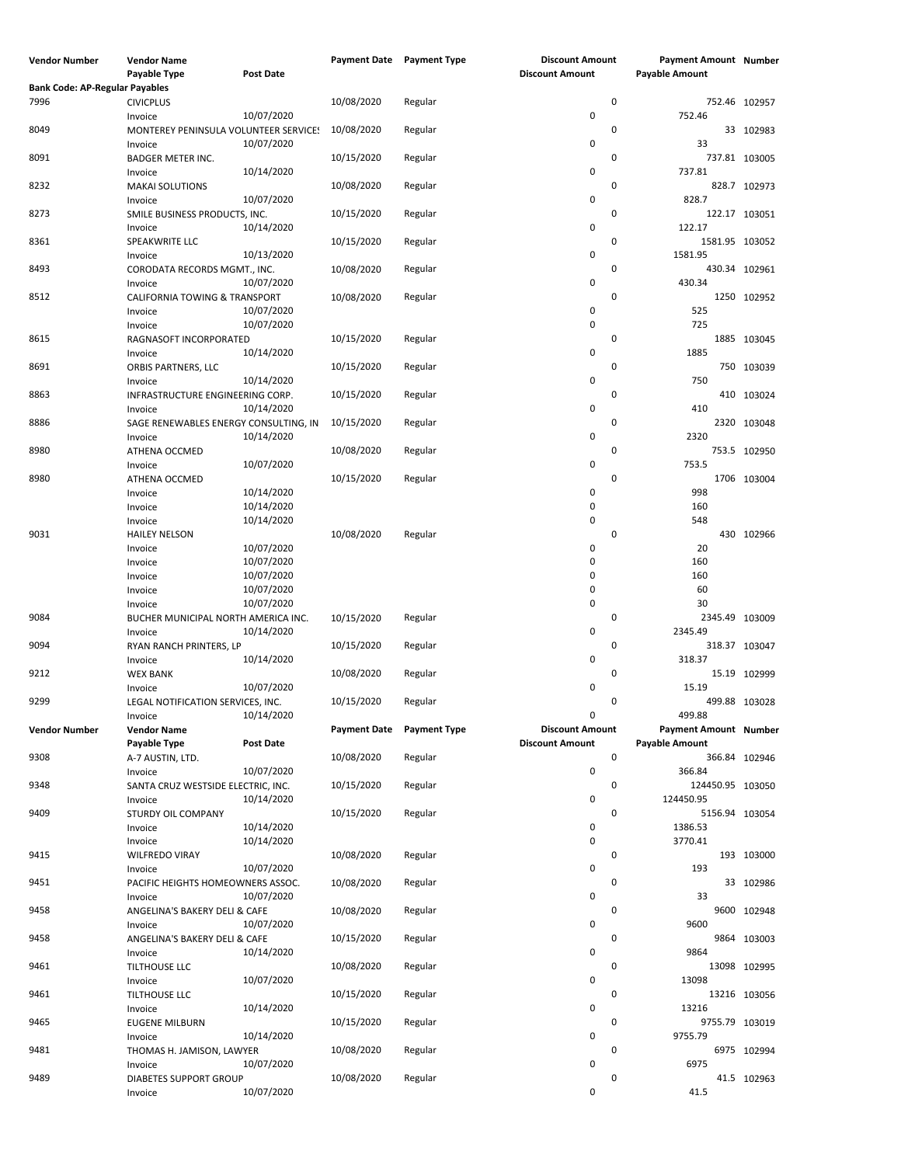| <b>Vendor Number</b>                  | <b>Vendor Name</b><br><b>Payable Type</b>           | <b>Post Date</b>                       | <b>Payment Date</b> | <b>Payment Type</b> | <b>Discount Amount</b><br><b>Discount Amount</b> |   | Payment Amount Number<br><b>Payable Amount</b>        |               |
|---------------------------------------|-----------------------------------------------------|----------------------------------------|---------------------|---------------------|--------------------------------------------------|---|-------------------------------------------------------|---------------|
| <b>Bank Code: AP-Regular Payables</b> |                                                     |                                        |                     |                     |                                                  |   |                                                       |               |
| 7996                                  | <b>CIVICPLUS</b>                                    |                                        | 10/08/2020          | Regular             |                                                  | 0 |                                                       | 752.46 102957 |
| 8049                                  | Invoice<br>MONTEREY PENINSULA VOLUNTEER SERVICE!    | 10/07/2020                             | 10/08/2020          | Regular             | 0                                                | 0 | 752.46                                                | 33 102983     |
| 8091                                  | Invoice<br><b>BADGER METER INC.</b>                 | 10/07/2020                             | 10/15/2020          | Regular             | 0                                                | 0 | 33                                                    | 737.81 103005 |
| 8232                                  | Invoice<br><b>MAKAI SOLUTIONS</b>                   | 10/14/2020                             | 10/08/2020          | Regular             | 0                                                | 0 | 737.81                                                | 828.7 102973  |
| 8273                                  | Invoice<br>SMILE BUSINESS PRODUCTS, INC.            | 10/07/2020                             | 10/15/2020          | Regular             | 0                                                | 0 | 828.7                                                 | 122.17 103051 |
| 8361                                  | Invoice<br>SPEAKWRITE LLC                           | 10/14/2020                             | 10/15/2020          | Regular             | 0                                                | 0 | 122.17<br>1581.95 103052                              |               |
| 8493                                  | Invoice<br>CORODATA RECORDS MGMT., INC.             | 10/13/2020<br>10/07/2020               | 10/08/2020          | Regular             | 0<br>0                                           | 0 | 1581.95<br>430.34                                     | 430.34 102961 |
| 8512                                  | Invoice<br>CALIFORNIA TOWING & TRANSPORT<br>Invoice | 10/07/2020                             | 10/08/2020          | Regular             | 0                                                | 0 | 525                                                   | 1250 102952   |
| 8615                                  | Invoice<br>RAGNASOFT INCORPORATED                   | 10/07/2020                             | 10/15/2020          | Regular             | 0                                                | 0 | 725                                                   | 1885 103045   |
| 8691                                  | Invoice<br>ORBIS PARTNERS, LLC                      | 10/14/2020                             | 10/15/2020          | Regular             | 0                                                | 0 | 1885                                                  | 750 103039    |
| 8863                                  | Invoice<br>INFRASTRUCTURE ENGINEERING CORP.         | 10/14/2020                             | 10/15/2020          | Regular             | 0                                                | 0 | 750<br>410                                            | 103024        |
| 8886                                  | Invoice<br>SAGE RENEWABLES ENERGY CONSULTING, IN    | 10/14/2020                             | 10/15/2020          | Regular             | 0                                                | 0 | 410<br>2320                                           | 103048        |
| 8980                                  | Invoice<br>ATHENA OCCMED                            | 10/14/2020                             | 10/08/2020          | Regular             | 0                                                | 0 | 2320                                                  | 753.5 102950  |
| 8980                                  | Invoice<br>ATHENA OCCMED                            | 10/07/2020                             | 10/15/2020          | Regular             | 0                                                | 0 | 753.5                                                 | 1706 103004   |
|                                       | Invoice<br>Invoice                                  | 10/14/2020<br>10/14/2020               |                     |                     | 0<br>0                                           |   | 998<br>160                                            |               |
| 9031                                  | Invoice<br><b>HAILEY NELSON</b>                     | 10/14/2020                             | 10/08/2020          | Regular             | 0                                                | 0 | 548                                                   | 430 102966    |
|                                       | Invoice<br>Invoice<br>Invoice                       | 10/07/2020<br>10/07/2020<br>10/07/2020 |                     |                     | 0<br>0<br>0                                      |   | 20<br>160<br>160                                      |               |
|                                       | Invoice<br>Invoice                                  | 10/07/2020<br>10/07/2020               |                     |                     | 0<br>0                                           |   | 60<br>30                                              |               |
| 9084                                  | BUCHER MUNICIPAL NORTH AMERICA INC.<br>Invoice      | 10/14/2020                             | 10/15/2020          | Regular             | 0                                                | 0 | 2345.49 103009<br>2345.49                             |               |
| 9094                                  | RYAN RANCH PRINTERS, LP<br>Invoice                  | 10/14/2020                             | 10/15/2020          | Regular             | 0                                                | 0 | 318.37                                                | 318.37 103047 |
| 9212                                  | <b>WEX BANK</b><br>Invoice                          | 10/07/2020                             | 10/08/2020          | Regular             | 0                                                | 0 | 15.19                                                 | 15.19 102999  |
| 9299                                  | LEGAL NOTIFICATION SERVICES, INC.<br>Invoice        | 10/14/2020                             | 10/15/2020          | Regular             | 0                                                | 0 | 499.88                                                | 499.88 103028 |
| <b>Vendor Number</b>                  | <b>Vendor Name</b><br>Payable Type                  | Post Date                              | <b>Payment Date</b> | <b>Payment Type</b> | <b>Discount Amount</b><br><b>Discount Amount</b> |   | <b>Payment Amount Number</b><br><b>Payable Amount</b> |               |
| 9308                                  | A-7 AUSTIN, LTD.<br>Invoice                         | 10/07/2020                             | 10/08/2020          | Regular             | 0                                                | 0 | 366.84                                                | 366.84 102946 |
| 9348                                  | SANTA CRUZ WESTSIDE ELECTRIC, INC.<br>Invoice       | 10/14/2020                             | 10/15/2020          | Regular             | 0                                                | 0 | 124450.95 103050<br>124450.95                         |               |
| 9409                                  | STURDY OIL COMPANY<br>Invoice<br>Invoice            | 10/14/2020<br>10/14/2020               | 10/15/2020          | Regular             | 0<br>0                                           | 0 | 5156.94 103054<br>1386.53<br>3770.41                  |               |
| 9415                                  | <b>WILFREDO VIRAY</b><br>Invoice                    | 10/07/2020                             | 10/08/2020          | Regular             | 0                                                | 0 | 193                                                   | 193 103000    |
| 9451                                  | PACIFIC HEIGHTS HOMEOWNERS ASSOC.<br>Invoice        | 10/07/2020                             | 10/08/2020          | Regular             | 0                                                | 0 | 33                                                    | 33 102986     |
| 9458                                  | ANGELINA'S BAKERY DELI & CAFE<br>Invoice            | 10/07/2020                             | 10/08/2020          | Regular             | 0                                                | 0 | 9600                                                  | 9600 102948   |
| 9458                                  | ANGELINA'S BAKERY DELI & CAFE<br>Invoice            | 10/14/2020                             | 10/15/2020          | Regular             | 0                                                | 0 | 9864                                                  | 9864 103003   |
| 9461                                  | TILTHOUSE LLC<br>Invoice                            | 10/07/2020                             | 10/08/2020          | Regular             | 0                                                | 0 | 13098                                                 | 13098 102995  |
| 9461                                  | TILTHOUSE LLC<br>Invoice                            | 10/14/2020                             | 10/15/2020          | Regular             | 0                                                | 0 | 13216                                                 | 13216 103056  |
| 9465                                  | <b>EUGENE MILBURN</b><br>Invoice                    | 10/14/2020                             | 10/15/2020          | Regular             | 0                                                | 0 | 9755.79 103019<br>9755.79                             |               |
| 9481                                  | THOMAS H. JAMISON, LAWYER<br>Invoice                | 10/07/2020                             | 10/08/2020          | Regular             | 0                                                | 0 | 6975                                                  | 6975 102994   |
| 9489                                  | <b>DIABETES SUPPORT GROUP</b><br>Invoice            | 10/07/2020                             | 10/08/2020          | Regular             | 0                                                | 0 | 41.5                                                  | 41.5 102963   |